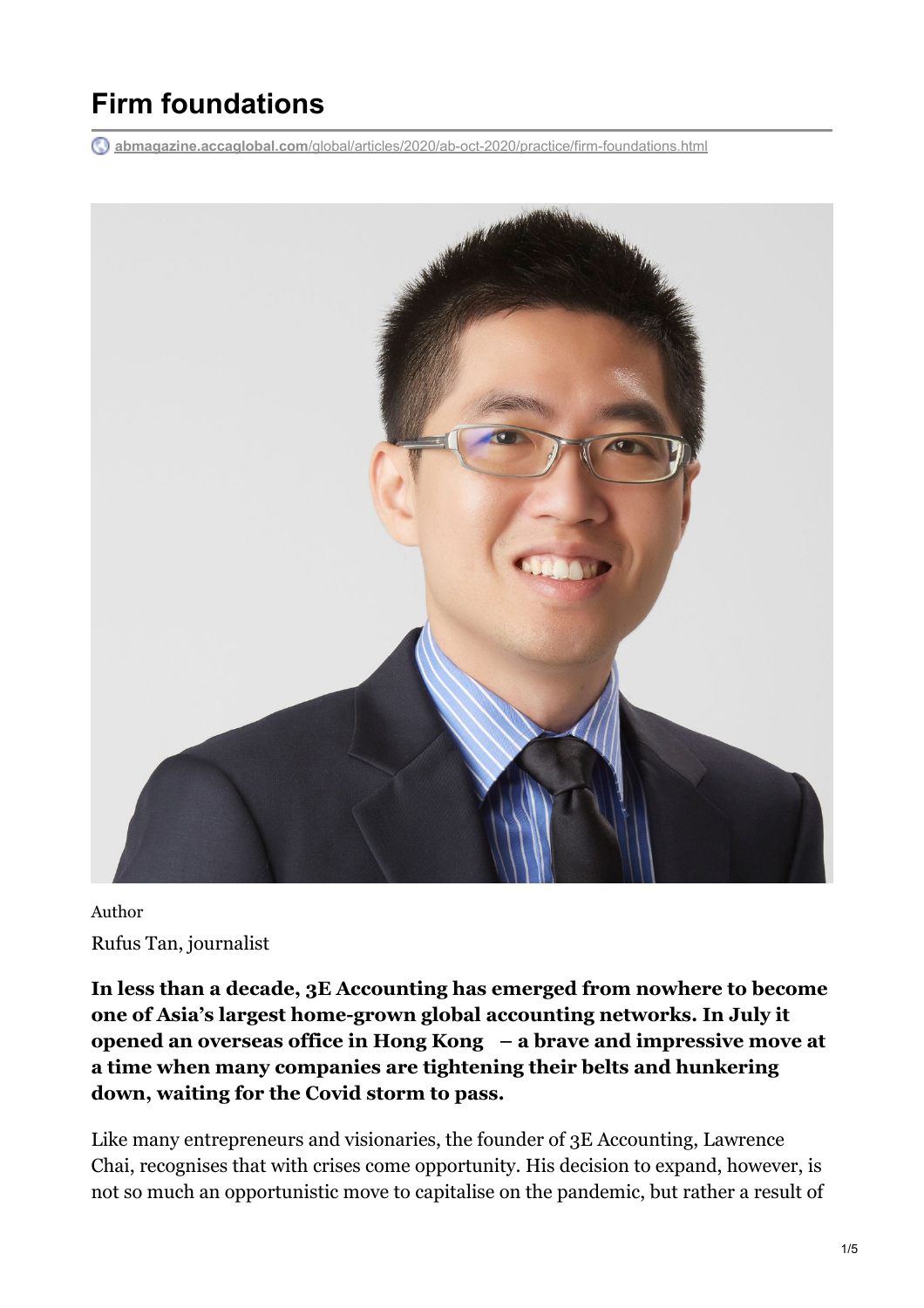# **Firm foundations**

**abmagazine.accaglobal.com**[/global/articles/2020/ab-oct-2020/practice/firm-foundations.html](https://abmagazine.accaglobal.com/global/articles/2020/ab-oct-2020/practice/firm-foundations.html)



Author Rufus Tan, journalist

**In less than a decade, 3E Accounting has emerged from nowhere to become one of Asia's largest home-grown global accounting networks. In July it opened an overseas office in Hong Kong – a brave and impressive move at a time when many companies are tightening their belts and hunkering down, waiting for the Covid storm to pass.**

Like many entrepreneurs and visionaries, the founder of 3E Accounting, Lawrence Chai, recognises that with crises come opportunity. His decision to expand, however, is not so much an opportunistic move to capitalise on the pandemic, but rather a result of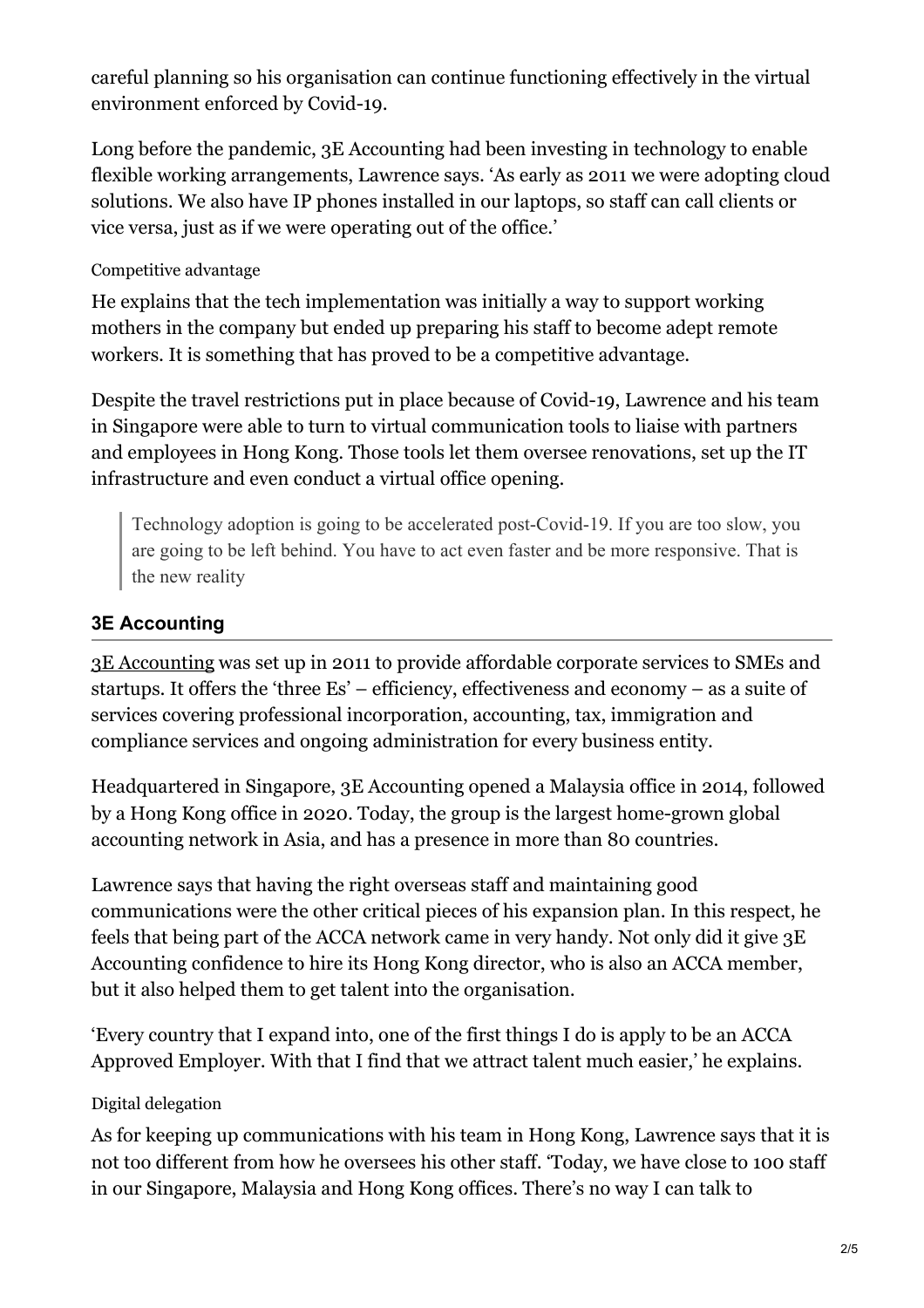careful planning so his organisation can continue functioning effectively in the virtual environment enforced by Covid-19.

Long before the pandemic, 3E Accounting had been investing in technology to enable flexible working arrangements, Lawrence says. 'As early as 2011 we were adopting cloud solutions. We also have IP phones installed in our laptops, so staff can call clients or vice versa, just as if we were operating out of the office.'

## Competitive advantage

He explains that the tech implementation was initially a way to support working mothers in the company but ended up preparing his staff to become adept remote workers. It is something that has proved to be a competitive advantage.

Despite the travel restrictions put in place because of Covid-19, Lawrence and his team in Singapore were able to turn to virtual communication tools to liaise with partners and employees in Hong Kong. Those tools let them oversee renovations, set up the IT infrastructure and even conduct a virtual office opening.

Technology adoption is going to be accelerated post-Covid-19. If you are too slow, you are going to be left behind. You have to act even faster and be more responsive. That is the new reality

## **3E Accounting**

[3E Accounting](http://www.3ecpa.com.sg/) was set up in 2011 to provide affordable corporate services to SMEs and startups. It offers the 'three Es' – efficiency, effectiveness and economy – as a suite of services covering professional incorporation, accounting, tax, immigration and compliance services and ongoing administration for every business entity.

Headquartered in Singapore, 3E Accounting opened a Malaysia office in 2014, followed by a Hong Kong office in 2020. Today, the group is the largest home-grown global accounting network in Asia, and has a presence in more than 80 countries.

Lawrence says that having the right overseas staff and maintaining good communications were the other critical pieces of his expansion plan. In this respect, he feels that being part of the ACCA network came in very handy. Not only did it give 3E Accounting confidence to hire its Hong Kong director, who is also an ACCA member, but it also helped them to get talent into the organisation.

'Every country that I expand into, one of the first things I do is apply to be an ACCA Approved Employer. With that I find that we attract talent much easier,' he explains.

## Digital delegation

As for keeping up communications with his team in Hong Kong, Lawrence says that it is not too different from how he oversees his other staff. 'Today, we have close to 100 staff in our Singapore, Malaysia and Hong Kong offices. There's no way I can talk to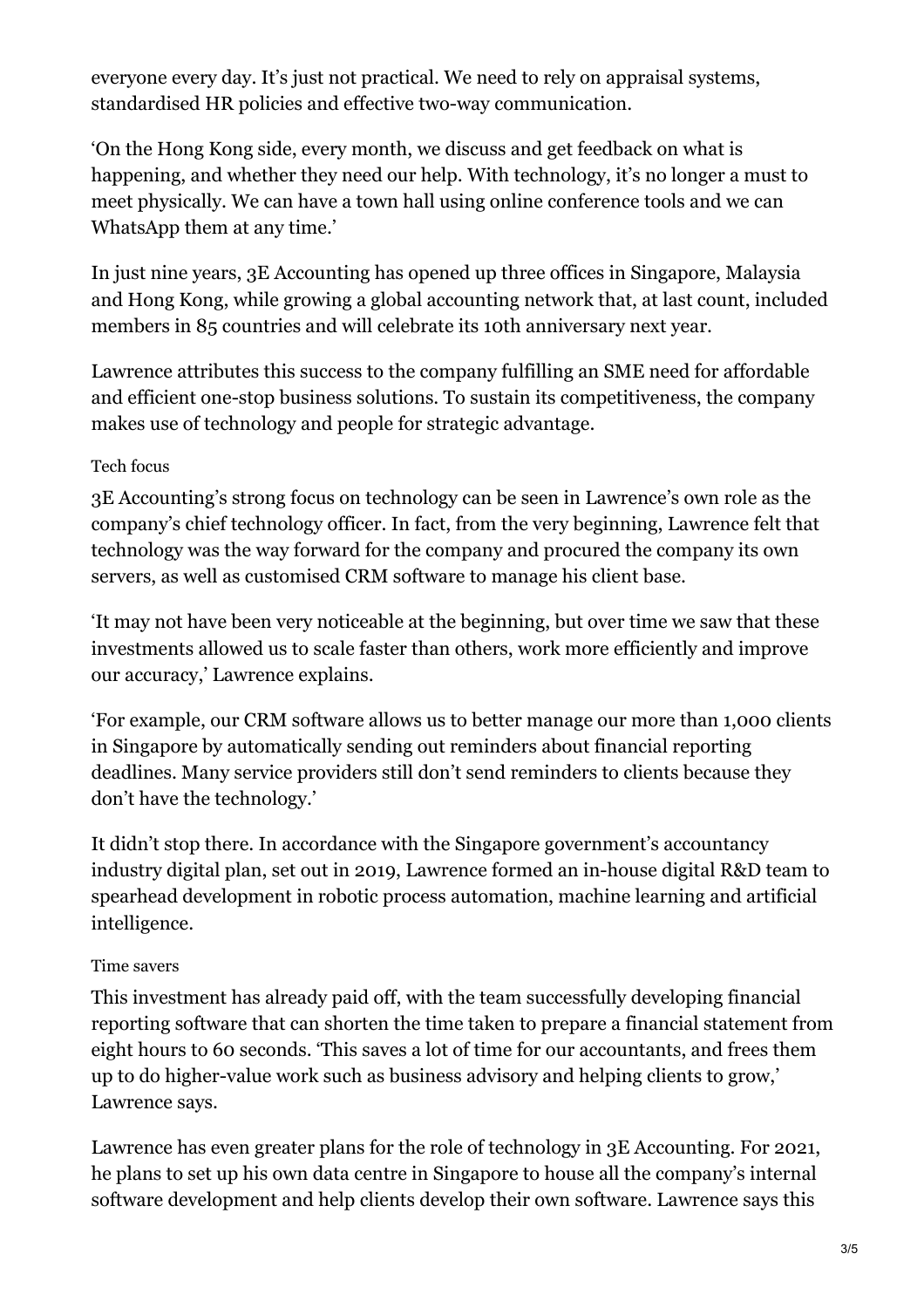everyone every day. It's just not practical. We need to rely on appraisal systems, standardised HR policies and effective two-way communication.

'On the Hong Kong side, every month, we discuss and get feedback on what is happening, and whether they need our help. With technology, it's no longer a must to meet physically. We can have a town hall using online conference tools and we can WhatsApp them at any time.'

In just nine years, 3E Accounting has opened up three offices in Singapore, Malaysia and Hong Kong, while growing a global accounting network that, at last count, included members in 85 countries and will celebrate its 10th anniversary next year.

Lawrence attributes this success to the company fulfilling an SME need for affordable and efficient one-stop business solutions. To sustain its competitiveness, the company makes use of technology and people for strategic advantage.

## Tech focus

3E Accounting's strong focus on technology can be seen in Lawrence's own role as the company's chief technology officer. In fact, from the very beginning, Lawrence felt that technology was the way forward for the company and procured the company its own servers, as well as customised CRM software to manage his client base.

'It may not have been very noticeable at the beginning, but over time we saw that these investments allowed us to scale faster than others, work more efficiently and improve our accuracy,' Lawrence explains.

'For example, our CRM software allows us to better manage our more than 1,000 clients in Singapore by automatically sending out reminders about financial reporting deadlines. Many service providers still don't send reminders to clients because they don't have the technology.'

It didn't stop there. In accordance with the Singapore government's accountancy industry digital plan, set out in 2019, Lawrence formed an in-house digital R&D team to spearhead development in robotic process automation, machine learning and artificial intelligence.

## Time savers

This investment has already paid off, with the team successfully developing financial reporting software that can shorten the time taken to prepare a financial statement from eight hours to 60 seconds. 'This saves a lot of time for our accountants, and frees them up to do higher-value work such as business advisory and helping clients to grow,' Lawrence says.

Lawrence has even greater plans for the role of technology in 3E Accounting. For 2021, he plans to set up his own data centre in Singapore to house all the company's internal software development and help clients develop their own software. Lawrence says this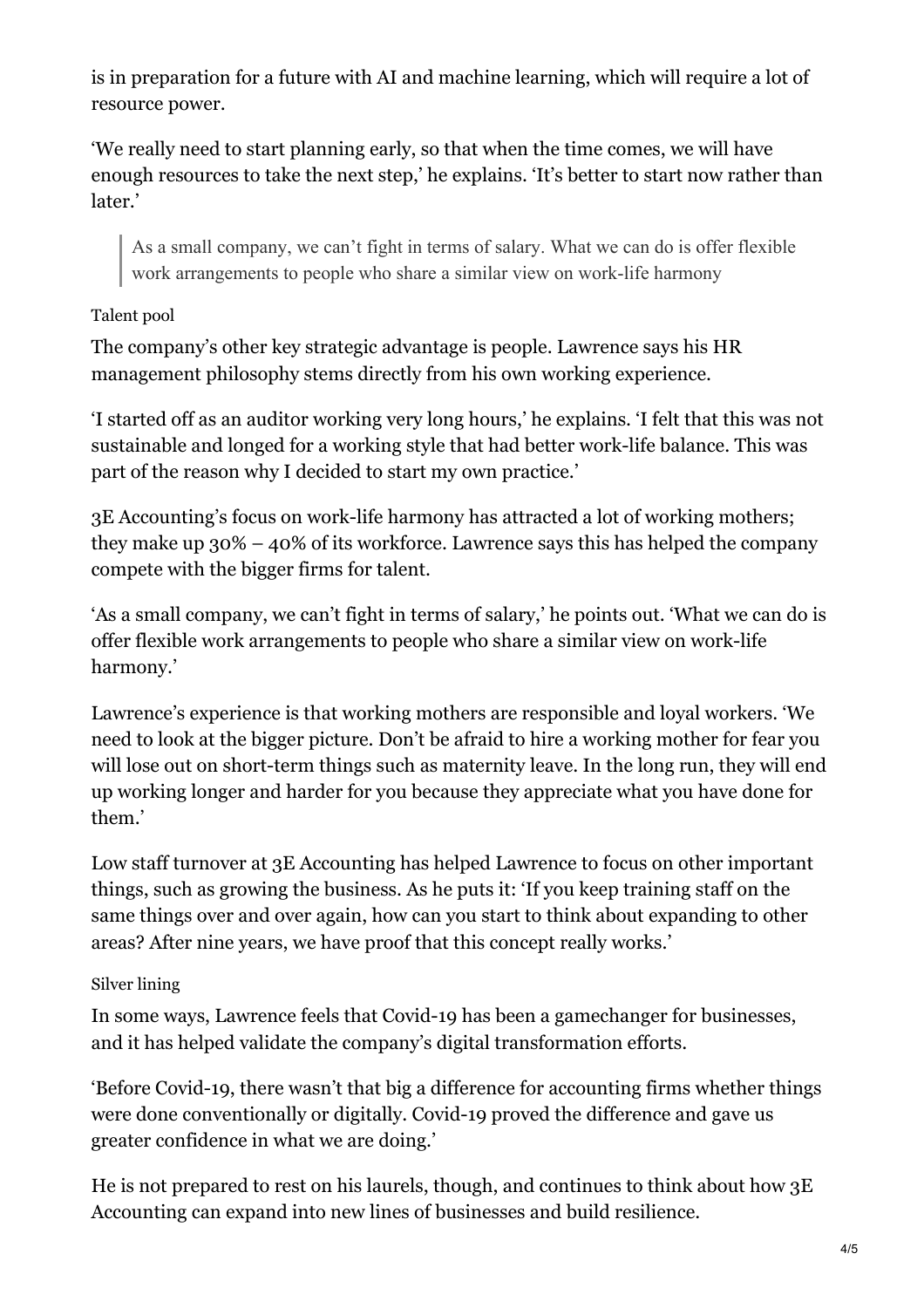is in preparation for a future with AI and machine learning, which will require a lot of resource power.

'We really need to start planning early, so that when the time comes, we will have enough resources to take the next step,' he explains. 'It's better to start now rather than later.'

As a small company, we can't fight in terms of salary. What we can do is offer flexible work arrangements to people who share a similar view on work-life harmony

## Talent pool

The company's other key strategic advantage is people. Lawrence says his HR management philosophy stems directly from his own working experience.

'I started off as an auditor working very long hours,' he explains. 'I felt that this was not sustainable and longed for a working style that had better work-life balance. This was part of the reason why I decided to start my own practice.'

3E Accounting's focus on work-life harmony has attracted a lot of working mothers; they make up  $30\% - 40\%$  of its workforce. Lawrence says this has helped the company compete with the bigger firms for talent.

'As a small company, we can't fight in terms of salary,' he points out. 'What we can do is offer flexible work arrangements to people who share a similar view on work-life harmony.'

Lawrence's experience is that working mothers are responsible and loyal workers. 'We need to look at the bigger picture. Don't be afraid to hire a working mother for fear you will lose out on short-term things such as maternity leave. In the long run, they will end up working longer and harder for you because they appreciate what you have done for them.'

Low staff turnover at 3E Accounting has helped Lawrence to focus on other important things, such as growing the business. As he puts it: 'If you keep training staff on the same things over and over again, how can you start to think about expanding to other areas? After nine years, we have proof that this concept really works.'

## Silver lining

In some ways, Lawrence feels that Covid-19 has been a gamechanger for businesses, and it has helped validate the company's digital transformation efforts.

'Before Covid-19, there wasn't that big a difference for accounting firms whether things were done conventionally or digitally. Covid-19 proved the difference and gave us greater confidence in what we are doing.'

He is not prepared to rest on his laurels, though, and continues to think about how 3E Accounting can expand into new lines of businesses and build resilience.